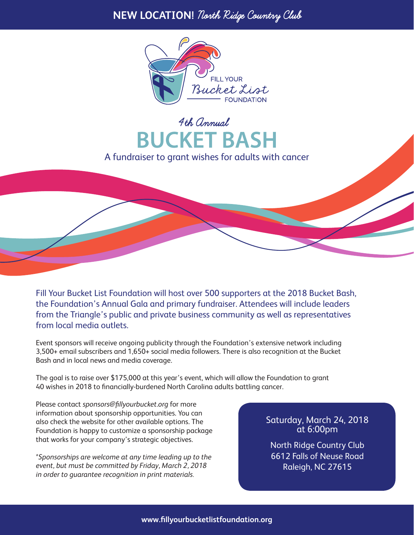## **NEW LOCATION!** North Ridge Country Club



4th Annual **BUCKET BASH** A fundraiser to grant wishes for adults with cancer

Fill Your Bucket List Foundation will host over 500 supporters at the 2018 Bucket Bash, the Foundation's Annual Gala and primary fundraiser. Attendees will include leaders from the Triangle's public and private business community as well as representatives from local media outlets.

Event sponsors will receive ongoing publicity through the Foundation's extensive network including 3,500+ email subscribers and 1,650+ social media followers. There is also recognition at the Bucket Bash and in local news and media coverage.

The goal is to raise over \$175,000 at this year's event, which will allow the Foundation to grant 40 wishes in 2018 to financially-burdened North Carolina adults battling cancer.

Please contact *sponsors@fillyourbucket.org* for more information about sponsorship opportunities. You can also check the website for other available options. The Foundation is happy to customize a sponsorship package that works for your company's strategic objectives.

*\*Sponsorships are welcome at any time leading up to the event, but must be committed by Friday, March 2, 2018 in order to guarantee recognition in print materials.*

## Saturday, March 24, 2018 at 6:00pm

North Ridge Country Club 6612 Falls of Neuse Road Raleigh, NC 27615